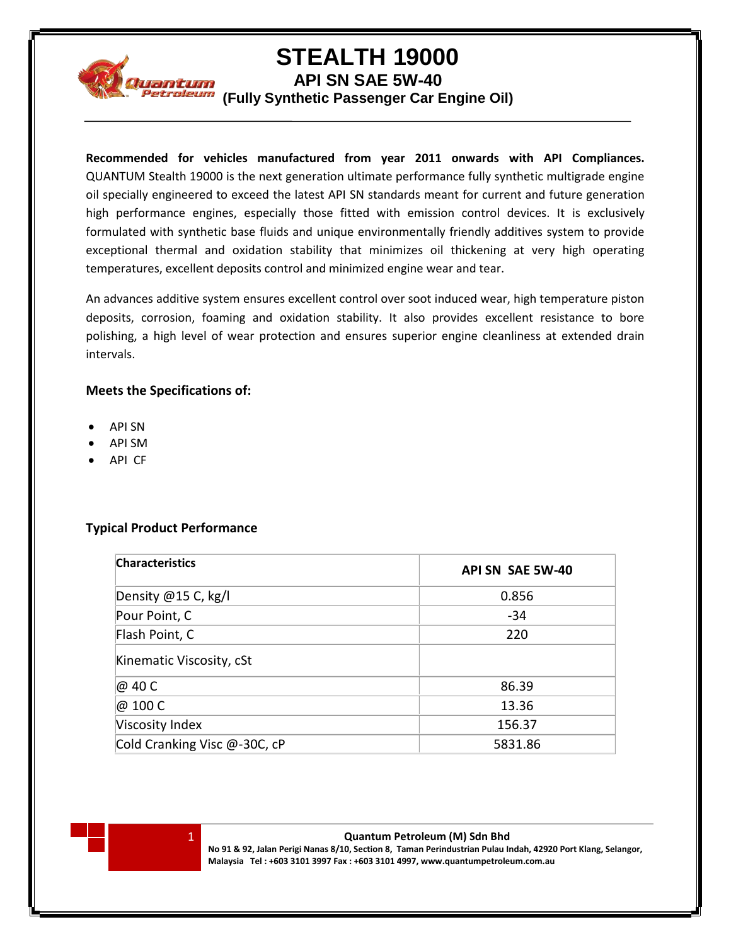

# **STEALTH 19000**

**API SN SAE 5W-40**

**(Fully Synthetic Passenger Car Engine Oil)**

**Recommended for vehicles manufactured from year 2011 onwards with API Compliances.** QUANTUM Stealth 19000 is the next generation ultimate performance fully synthetic multigrade engine oil specially engineered to exceed the latest API SN standards meant for current and future generation high performance engines, especially those fitted with emission control devices. It is exclusively formulated with synthetic base fluids and unique environmentally friendly additives system to provide exceptional thermal and oxidation stability that minimizes oil thickening at very high operating temperatures, excellent deposits control and minimized engine wear and tear.

An advances additive system ensures excellent control over soot induced wear, high temperature piston deposits, corrosion, foaming and oxidation stability. It also provides excellent resistance to bore polishing, a high level of wear protection and ensures superior engine cleanliness at extended drain intervals.

### **Meets the Specifications of:**

- API SN
- API SM
- API CF

## **Typical Product Performance**

| <b>Characteristics</b>       | API SN SAE 5W-40 |
|------------------------------|------------------|
| Density @15 C, kg/l          | 0.856            |
| Pour Point, C                | $-34$            |
| Flash Point, C               | 220              |
| Kinematic Viscosity, cSt     |                  |
| @ 40 C                       | 86.39            |
| @ 100 C                      | 13.36            |
| Viscosity Index              | 156.37           |
| Cold Cranking Visc @-30C, cP | 5831.86          |



1 **Quantum Petroleum (M) Sdn Bhd No 91 & 92, Jalan Perigi Nanas 8/10, Section 8, Taman Perindustrian Pulau Indah, 42920 Port Klang, Selangor, Malaysia Tel : +603 3101 3997 Fax : +603 3101 4997, www.quantumpetroleum.com.au**